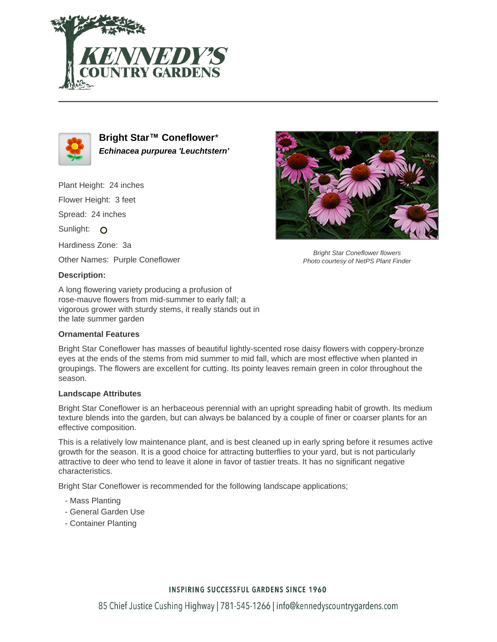



**Bright Star™ Coneflower**\* **Echinacea purpurea 'Leuchtstern'**

Plant Height: 24 inches

Flower Height: 3 feet

Spread: 24 inches

Sunlight: O

Hardiness Zone: 3a

Other Names: Purple Coneflower

### **Description:**

A long flowering variety producing a profusion of rose-mauve flowers from mid-summer to early fall; a vigorous grower with sturdy stems, it really stands out in the late summer garden

## **Ornamental Features**

Bright Star Coneflower has masses of beautiful lightly-scented rose daisy flowers with coppery-bronze eyes at the ends of the stems from mid summer to mid fall, which are most effective when planted in groupings. The flowers are excellent for cutting. Its pointy leaves remain green in color throughout the season.

#### **Landscape Attributes**

Bright Star Coneflower is an herbaceous perennial with an upright spreading habit of growth. Its medium texture blends into the garden, but can always be balanced by a couple of finer or coarser plants for an effective composition.

This is a relatively low maintenance plant, and is best cleaned up in early spring before it resumes active growth for the season. It is a good choice for attracting butterflies to your yard, but is not particularly attractive to deer who tend to leave it alone in favor of tastier treats. It has no significant negative characteristics.

Bright Star Coneflower is recommended for the following landscape applications;

- Mass Planting
- General Garden Use
- Container Planting



Bright Star Coneflower flowers Photo courtesy of NetPS Plant Finder

## **INSPIRING SUCCESSFUL GARDENS SINCE 1960**